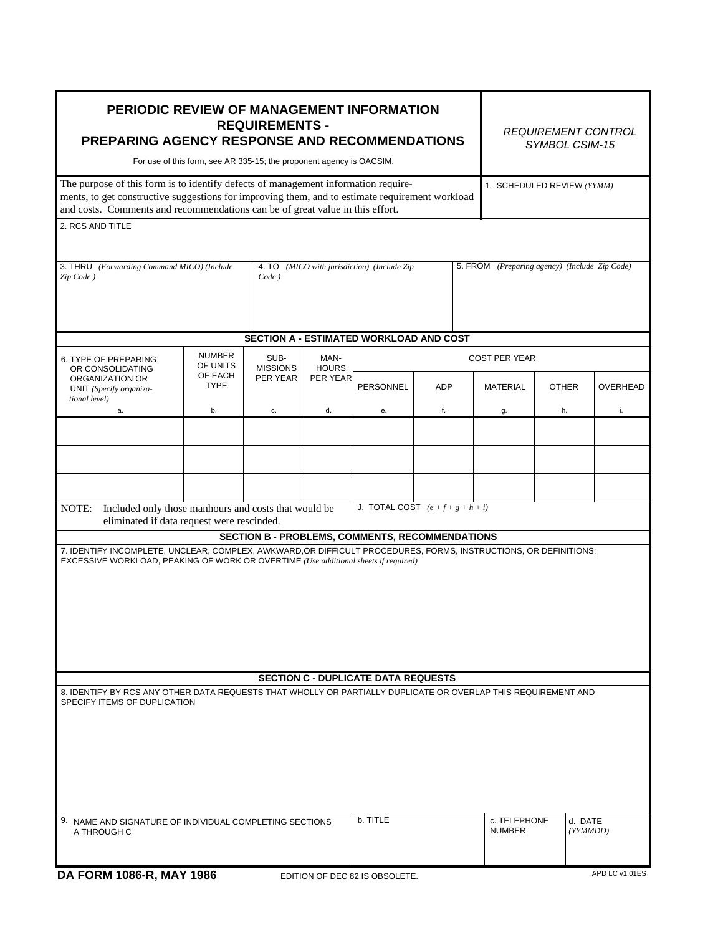| PERIODIC REVIEW OF MANAGEMENT INFORMATION<br><b>REQUIREMENTS -</b><br><b>PREPARING AGENCY RESPONSE AND RECOMMENDATIONS</b><br>For use of this form, see AR 335-15; the proponent agency is OACSIM.<br>The purpose of this form is to identify defects of management information require-                                                                                                                        |                           |                             |                                  |                                                |                               | <b>REQUIREMENT CONTROL</b><br>SYMBOL CSIM-15 |                            |                |
|-----------------------------------------------------------------------------------------------------------------------------------------------------------------------------------------------------------------------------------------------------------------------------------------------------------------------------------------------------------------------------------------------------------------|---------------------------|-----------------------------|----------------------------------|------------------------------------------------|-------------------------------|----------------------------------------------|----------------------------|----------------|
| ments, to get constructive suggestions for improving them, and to estimate requirement workload<br>and costs. Comments and recommendations can be of great value in this effort.                                                                                                                                                                                                                                |                           |                             |                                  |                                                |                               |                                              | 1. SCHEDULED REVIEW (YYMM) |                |
| 2. RCS AND TITLE                                                                                                                                                                                                                                                                                                                                                                                                |                           |                             |                                  |                                                |                               |                                              |                            |                |
| 4. TO (MICO with jurisdiction) (Include Zip<br>5. FROM (Preparing agency) (Include Zip Code)<br>3. THRU<br>(Forwarding Command MICO) (Include<br>$Code$ )<br>Zip Code)                                                                                                                                                                                                                                          |                           |                             |                                  |                                                |                               |                                              |                            |                |
|                                                                                                                                                                                                                                                                                                                                                                                                                 |                           |                             |                                  | <b>SECTION A - ESTIMATED WORKLOAD AND COST</b> |                               |                                              |                            |                |
| 6. TYPE OF PREPARING                                                                                                                                                                                                                                                                                                                                                                                            | <b>NUMBER</b><br>OF UNITS | SUB-                        | MAN-<br><b>HOURS</b><br>PER YEAR |                                                |                               | <b>COST PER YEAR</b>                         |                            |                |
| OR CONSOLIDATING<br>ORGANIZATION OR<br>UNIT (Specify organiza-<br>tional level)                                                                                                                                                                                                                                                                                                                                 | OF EACH<br><b>TYPE</b>    | <b>MISSIONS</b><br>PER YEAR |                                  | <b>PERSONNEL</b>                               | <b>ADP</b>                    | <b>MATERIAL</b>                              | <b>OTHER</b>               | OVERHEAD       |
| a.                                                                                                                                                                                                                                                                                                                                                                                                              | b.                        | c.                          | d.                               | е.                                             | f.                            | g.                                           | h.                         | i.             |
| J. TOTAL COST $(e+f+g+h+i)$<br>Included only those manhours and costs that would be<br>NOTE:<br>eliminated if data request were rescinded.<br><b>SECTION B - PROBLEMS, COMMENTS, RECOMMENDATIONS</b><br>7. IDENTIFY INCOMPLETE, UNCLEAR, COMPLEX, AWKWARD, OR DIFFICULT PROCEDURES, FORMS, INSTRUCTIONS, OR DEFINITIONS;<br>EXCESSIVE WORKLOAD, PEAKING OF WORK OR OVERTIME (Use additional sheets if required) |                           |                             |                                  |                                                |                               |                                              |                            |                |
|                                                                                                                                                                                                                                                                                                                                                                                                                 |                           |                             |                                  |                                                |                               |                                              |                            |                |
| 8. IDENTIFY BY RCS ANY OTHER DATA REQUESTS THAT WHOLLY OR PARTIALLY DUPLICATE OR OVERLAP THIS REQUIREMENT AND                                                                                                                                                                                                                                                                                                   |                           |                             |                                  | <b>SECTION C - DUPLICATE DATA REQUESTS</b>     |                               |                                              |                            |                |
| SPECIFY ITEMS OF DUPLICATION                                                                                                                                                                                                                                                                                                                                                                                    |                           |                             |                                  |                                                |                               |                                              |                            |                |
| 9. NAME AND SIGNATURE OF INDIVIDUAL COMPLETING SECTIONS<br>A THROUGH C                                                                                                                                                                                                                                                                                                                                          |                           |                             | b. TITLE                         |                                                | c. TELEPHONE<br><b>NUMBER</b> | d. DATE<br>(YYMMDD)                          |                            |                |
| DA FORM 1086-R, MAY 1986                                                                                                                                                                                                                                                                                                                                                                                        |                           |                             |                                  | EDITION OF DEC 82 IS OBSOLETE.                 |                               |                                              |                            | APD LC v1.01ES |